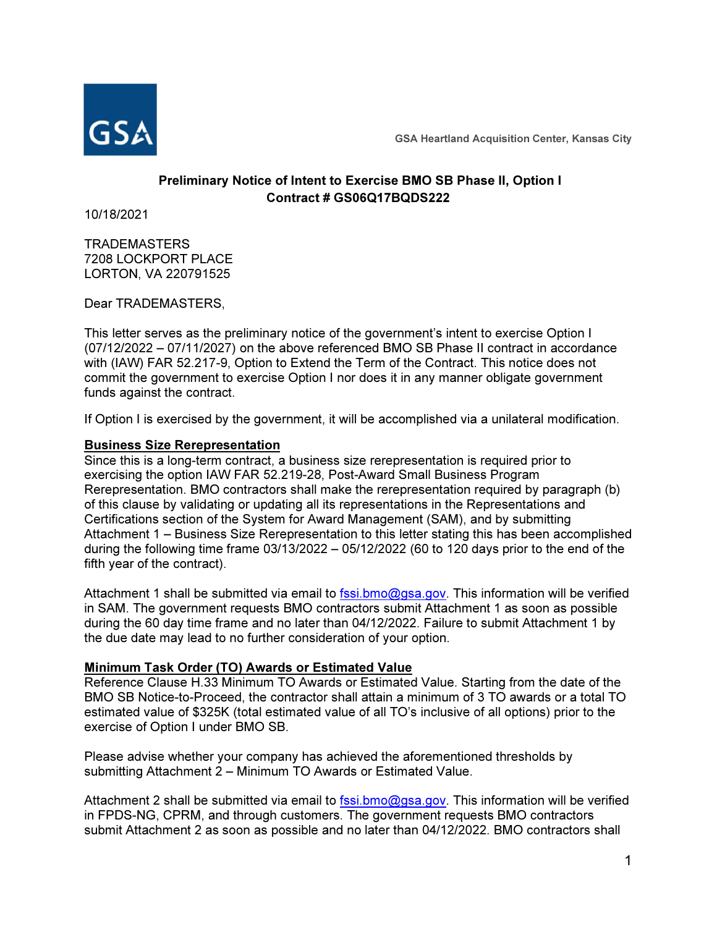

GSA Heartland Acquisition Center, Kansas City

# Preliminary Notice of Intent to Exercise BMO SB Phase II, Option I Contract # GS06Q17BQDS222

10/18/2021

**TRADEMASTERS** 7208 LOCKPORT PLACE LORTON, VA 220791525

Dear TRADEMASTERS,

This letter serves as the preliminary notice of the government's intent to exercise Option I (07/12/2022 – 07/11/2027) on the above referenced BMO SB Phase II contract in accordance with (IAW) FAR 52.217-9, Option to Extend the Term of the Contract. This notice does not commit the government to exercise Option I nor does it in any manner obligate government funds against the contract.

If Option I is exercised by the government, it will be accomplished via a unilateral modification.

## Business Size Rerepresentation

Since this is a long-term contract, a business size rerepresentation is required prior to exercising the option IAW FAR 52.219-28, Post-Award Small Business Program Rerepresentation. BMO contractors shall make the rerepresentation required by paragraph (b) of this clause by validating or updating all its representations in the Representations and Certifications section of the System for Award Management (SAM), and by submitting Attachment 1 – Business Size Rerepresentation to this letter stating this has been accomplished during the following time frame 03/13/2022 – 05/12/2022 (60 to 120 days prior to the end of the fifth year of the contract).

Attachment 1 shall be submitted via email to fssi.bmo@gsa.gov. This information will be verified in SAM. The government requests BMO contractors submit Attachment 1 as soon as possible during the 60 day time frame and no later than 04/12/2022. Failure to submit Attachment 1 by the due date may lead to no further consideration of your option.

# Minimum Task Order (TO) Awards or Estimated Value

Reference Clause H.33 Minimum TO Awards or Estimated Value. Starting from the date of the BMO SB Notice-to-Proceed, the contractor shall attain a minimum of 3 TO awards or a total TO estimated value of \$325K (total estimated value of all TO's inclusive of all options) prior to the exercise of Option I under BMO SB.

Please advise whether your company has achieved the aforementioned thresholds by submitting Attachment 2 – Minimum TO Awards or Estimated Value.

Attachment 2 shall be submitted via email to fssi.bmo@gsa.gov. This information will be verified in FPDS-NG, CPRM, and through customers. The government requests BMO contractors submit Attachment 2 as soon as possible and no later than 04/12/2022. BMO contractors shall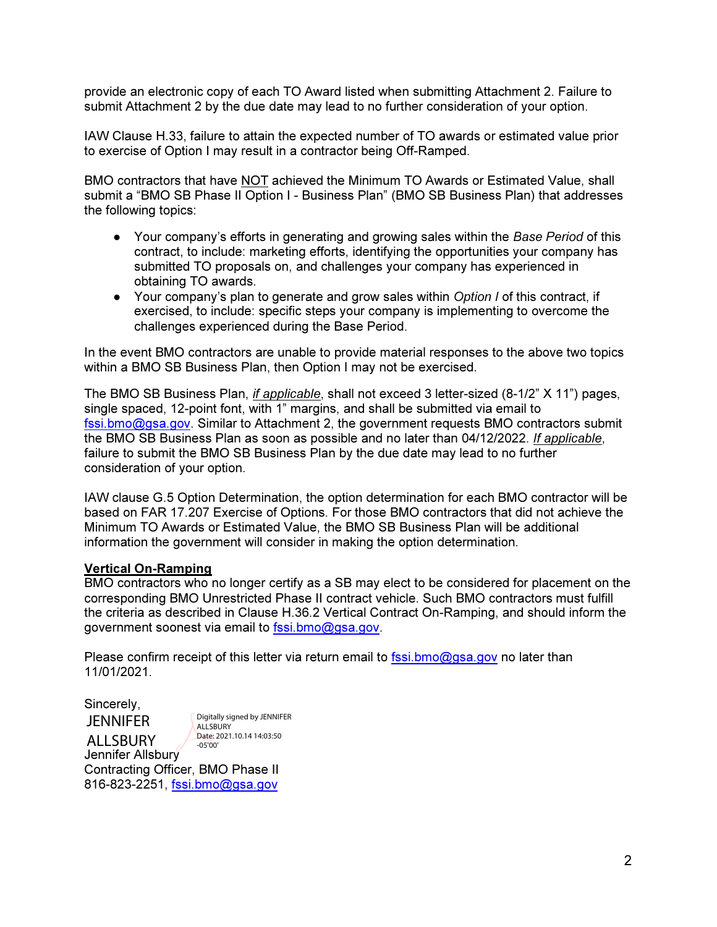provide an electronic copy of each TO Award listed when submitting Attachment 2. Failure to submit Attachment 2 by the due date may lead to no further consideration of your option.

IAW Clause H.33, failure to attain the expected number of TO awards or estimated value prior to exercise of Option I may result in a contractor being Off-Ramped.

BMO contractors that have NOT achieved the Minimum TO Awards or Estimated Value, shall submit a "BMO SB Phase II Option I - Business Plan" (BMO SB Business Plan) that addresses the following topics:

- Your company's efforts in generating and growing sales within the *Base Period* of this contract, to include: marketing efforts, identifying the opportunities your company has submitted TO proposals on, and challenges your company has experienced in obtaining TO awards.
- Your company's plan to generate and grow sales within *Option I* of this contract, if exercised, to include: specific steps your company is implementing to overcome the challenges experienced during the Base Period.

In the event BMO contractors are unable to provide material responses to the above two topics within a BMO SB Business Plan, then Option I may not be exercised.

The BMO SB Business Plan, if applicable, shall not exceed 3 letter-sized (8-1/2" X 11") pages, single spaced, 12-point font, with 1" margins, and shall be submitted via email to fssi.bmo@gsa.gov. Similar to Attachment 2, the government requests BMO contractors submit the BMO SB Business Plan as soon as possible and no later than 04/12/2022. If applicable, failure to submit the BMO SB Business Plan by the due date may lead to no further consideration of your option.

IAW clause G.5 Option Determination, the option determination for each BMO contractor will be based on FAR 17.207 Exercise of Options. For those BMO contractors that did not achieve the Minimum TO Awards or Estimated Value, the BMO SB Business Plan will be additional information the government will consider in making the option determination.

#### Vertical On-Ramping

BMO contractors who no longer certify as a SB may elect to be considered for placement on the corresponding BMO Unrestricted Phase II contract vehicle. Such BMO contractors must fulfill the criteria as described in Clause H.36.2 Vertical Contract On-Ramping, and should inform the government soonest via email to fssi.bmo@gsa.gov.

Please confirm receipt of this letter via return email to fssi.bmo@gsa.gov no later than 11/01/2021.

Sincerely,

Jennifer Allsbury JENNIFER **ALLSBURY** Digitally signed by JENNIFER **ALLSBURY** Date: 2021.10.14 14:03:50 -05'00'

Contracting Officer, BMO Phase II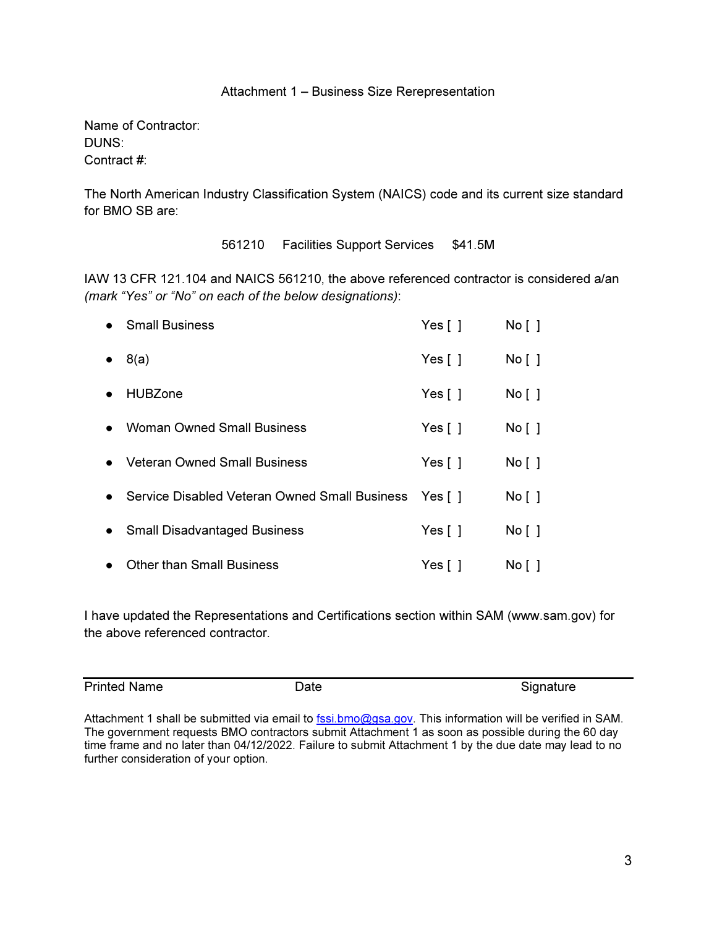# Attachment 1 – Business Size Rerepresentation

Name of Contractor: DUNS: Contract #:

The North American Industry Classification System (NAICS) code and its current size standard for BMO SB are:

561210 Facilities Support Services \$41.5M

IAW 13 CFR 121.104 and NAICS 561210, the above referenced contractor is considered a/an (mark "Yes" or "No" on each of the below designations):

|           | <b>Small Business</b>                                 | Yes $\lceil \; \rceil$ | No [ ] |
|-----------|-------------------------------------------------------|------------------------|--------|
|           | 8(a)                                                  | Yes $\lceil \ \rceil$  | No [ ] |
|           | <b>HUBZone</b>                                        | Yes $\lceil \ \rceil$  | No [ ] |
| $\bullet$ | <b>Woman Owned Small Business</b>                     | Yes $\lceil \ \rceil$  | No [ ] |
| $\bullet$ | <b>Veteran Owned Small Business</b>                   | Yes $\lceil \ \rceil$  | No [ ] |
| $\bullet$ | Service Disabled Veteran Owned Small Business Yes [ ] |                        | No [ ] |
|           | • Small Disadvantaged Business                        | Yes $\lceil \ \rceil$  | No [ ] |
|           | <b>Other than Small Business</b>                      | Yes $[$ $]$            | No [ ] |

I have updated the Representations and Certifications section within SAM (www.sam.gov) for the above referenced contractor.

Printed Name **Date Date** Signature Signature

Attachment 1 shall be submitted via email to fssi.bmo@gsa.gov. This information will be verified in SAM. The government requests BMO contractors submit Attachment 1 as soon as possible during the 60 day time frame and no later than 04/12/2022. Failure to submit Attachment 1 by the due date may lead to no further consideration of your option.